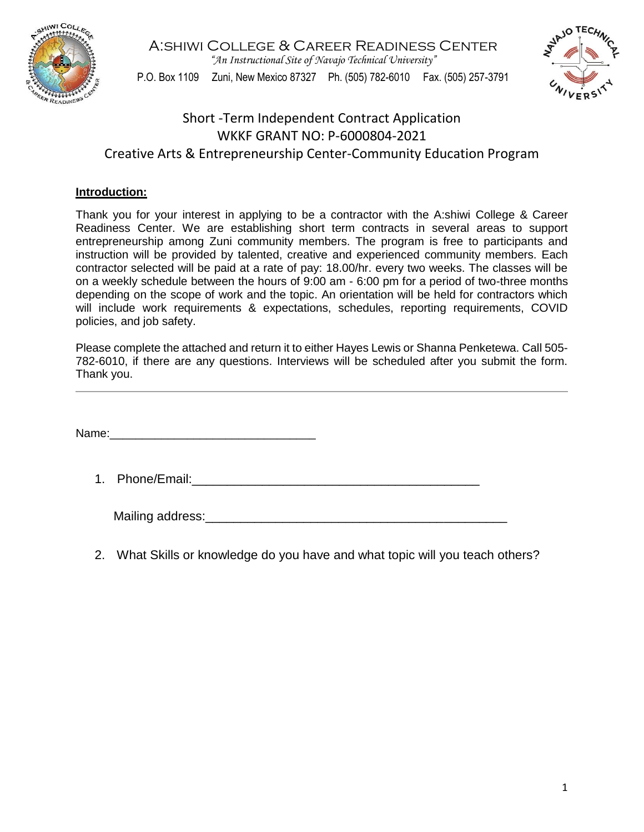

A:shiwi College & Career Readiness Center *"An Instructional Site of Navajo Technical University"* P.O. Box 1109 Zuni, New Mexico 87327 Ph. (505) 782-6010 Fax. (505) 257-3791



## Short -Term Independent Contract Application WKKF GRANT NO: P-6000804-2021 Creative Arts & Entrepreneurship Center-Community Education Program

## **Introduction:**

Thank you for your interest in applying to be a contractor with the A:shiwi College & Career Readiness Center. We are establishing short term contracts in several areas to support entrepreneurship among Zuni community members. The program is free to participants and instruction will be provided by talented, creative and experienced community members. Each contractor selected will be paid at a rate of pay: 18.00/hr. every two weeks. The classes will be on a weekly schedule between the hours of 9:00 am - 6:00 pm for a period of two-three months depending on the scope of work and the topic. An orientation will be held for contractors which will include work requirements & expectations, schedules, reporting requirements, COVID policies, and job safety.

Please complete the attached and return it to either Hayes Lewis or Shanna Penketewa. Call 505- 782-6010, if there are any questions. Interviews will be scheduled after you submit the form. Thank you.

Name:

1. Phone/Email:\_\_\_\_\_\_\_\_\_\_\_\_\_\_\_\_\_\_\_\_\_\_\_\_\_\_\_\_\_\_\_\_\_\_\_\_\_\_\_\_\_

| Mailing address: |  |
|------------------|--|
|                  |  |

2. What Skills or knowledge do you have and what topic will you teach others?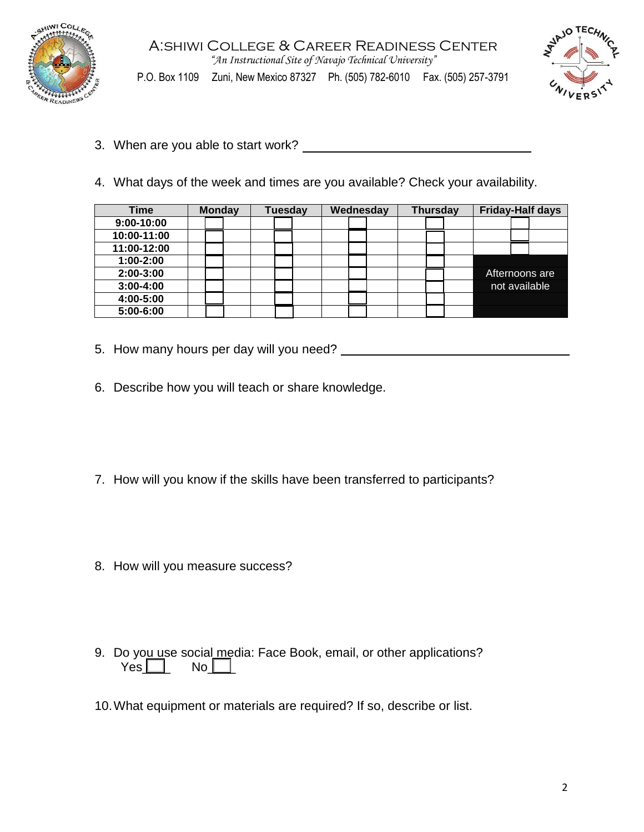

A:shiwi College & Career Readiness Center *"An Instructional Site of Navajo Technical University"* P.O. Box 1109 Zuni, New Mexico 87327 Ph. (505) 782-6010 Fax. (505) 257-3791



- 3. When are you able to start work?
- 4. What days of the week and times are you available? Check your availability.

| <b>Time</b>   | <b>Monday</b> | <b>Tuesday</b> | Wednesday | <b>Thursday</b> | <b>Friday-Half days</b> |
|---------------|---------------|----------------|-----------|-----------------|-------------------------|
| $9:00-10:00$  |               |                |           |                 |                         |
| 10:00-11:00   |               |                |           |                 |                         |
| 11:00-12:00   |               |                |           |                 |                         |
| $1:00-2:00$   |               |                |           |                 |                         |
| 2:00-3:00     |               |                |           |                 | Afternoons are          |
| $3:00 - 4:00$ |               |                |           |                 | not available           |
| 4:00-5:00     |               |                |           |                 |                         |
| 5:00-6:00     |               |                |           |                 |                         |

- 5. How many hours per day will you need?
- 6. Describe how you will teach or share knowledge.
- 7. How will you know if the skills have been transferred to participants?
- 8. How will you measure success?
- 9. Do you use social media: Face Book, email, or other applications?  $Yes \Box$  No
- 10.What equipment or materials are required? If so, describe or list.